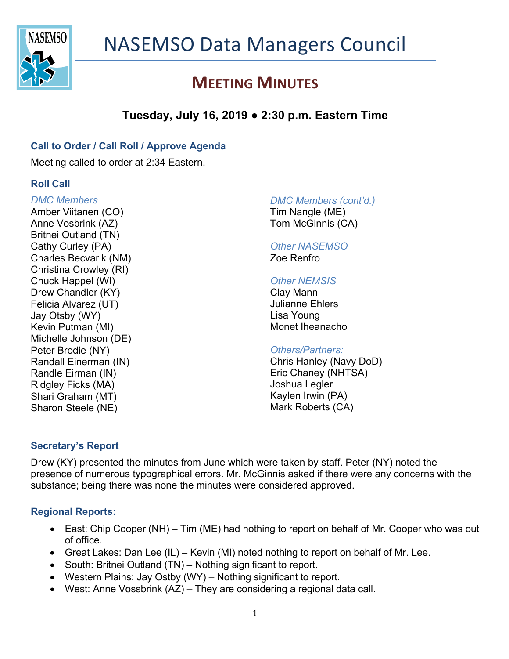

# **MEETING MINUTES**

# **Tuesday, July 16, 2019 ● 2:30 p.m. Eastern Time**

### **Call to Order / Call Roll / Approve Agenda**

Meeting called to order at 2:34 Eastern.

### **Roll Call**

# *DMC Members*

Amber Viitanen (CO) Anne Vosbrink (AZ) Britnei Outland (TN) Cathy Curley (PA) Charles Becvarik (NM) Christina Crowley (RI) Chuck Happel (WI) Drew Chandler (KY) Felicia Alvarez (UT) Jay Otsby (WY) Kevin Putman (MI) Michelle Johnson (DE) Peter Brodie (NY) Randall Einerman (IN) Randle Eirman (IN) Ridgley Ficks (MA) Shari Graham (MT) Sharon Steele (NE)

*DMC Members (cont'd.)* Tim Nangle (ME) Tom McGinnis (CA)

*Other NASEMSO*  Zoe Renfro

#### *Other NEMSIS*

Clay Mann Julianne Ehlers Lisa Young Monet Iheanacho

#### *Others/Partners:*

Chris Hanley (Navy DoD) Eric Chaney (NHTSA) Joshua Legler Kaylen Irwin (PA) Mark Roberts (CA)

#### **Secretary's Report**

Drew (KY) presented the minutes from June which were taken by staff. Peter (NY) noted the presence of numerous typographical errors. Mr. McGinnis asked if there were any concerns with the substance; being there was none the minutes were considered approved.

#### **Regional Reports:**

- East: Chip Cooper (NH) Tim (ME) had nothing to report on behalf of Mr. Cooper who was out of office.
- Great Lakes: Dan Lee (IL) Kevin (MI) noted nothing to report on behalf of Mr. Lee.
- South: Britnei Outland (TN) Nothing significant to report.
- Western Plains: Jay Ostby (WY) Nothing significant to report.
- West: Anne Vossbrink (AZ) They are considering a regional data call.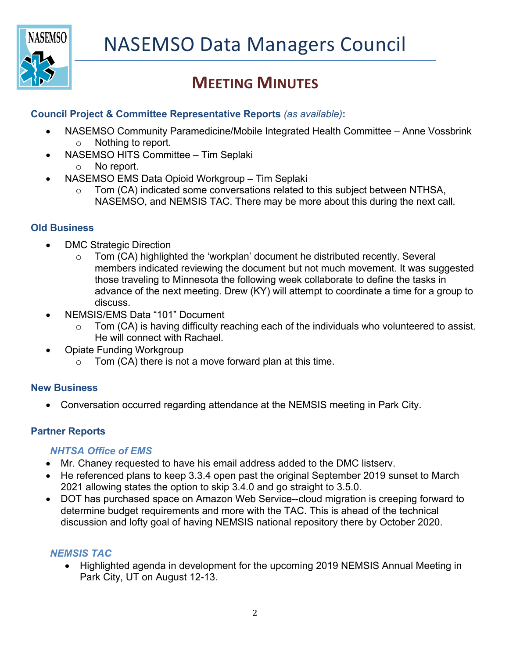

# **MEETING MINUTES**

## **Council Project & Committee Representative Reports** *(as available)***:**

- NASEMSO Community Paramedicine/Mobile Integrated Health Committee Anne Vossbrink
	- o Nothing to report.
- NASEMSO HITS Committee Tim Seplaki
	- o No report.
- NASEMSO EMS Data Opioid Workgroup Tim Seplaki
	- Tom (CA) indicated some conversations related to this subject between NTHSA, NASEMSO, and NEMSIS TAC. There may be more about this during the next call.

#### **Old Business**

- DMC Strategic Direction
	- $\circ$  Tom (CA) highlighted the 'workplan' document he distributed recently. Several members indicated reviewing the document but not much movement. It was suggested those traveling to Minnesota the following week collaborate to define the tasks in advance of the next meeting. Drew (KY) will attempt to coordinate a time for a group to discuss.
- NEMSIS/EMS Data "101" Document
	- $\circ$  Tom (CA) is having difficulty reaching each of the individuals who volunteered to assist. He will connect with Rachael.
- Opiate Funding Workgroup
	- $\circ$  Tom (CA) there is not a move forward plan at this time.

#### **New Business**

• Conversation occurred regarding attendance at the NEMSIS meeting in Park City.

#### **Partner Reports**

#### *NHTSA Office of EMS*

- Mr. Chaney requested to have his email address added to the DMC listserv.
- He referenced plans to keep 3.3.4 open past the original September 2019 sunset to March 2021 allowing states the option to skip 3.4.0 and go straight to 3.5.0.
- DOT has purchased space on Amazon Web Service--cloud migration is creeping forward to determine budget requirements and more with the TAC. This is ahead of the technical discussion and lofty goal of having NEMSIS national repository there by October 2020.

# *NEMSIS TAC*

• Highlighted agenda in development for the upcoming 2019 NEMSIS Annual Meeting in Park City, UT on August 12-13.